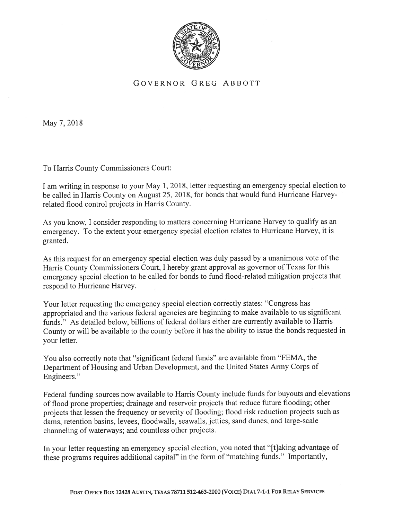

## GOVERNOR GREG ABBOTT

May 7,2018

To Harris County Commissioners Court:

<sup>I</sup> am writing in response to your May 1, 2018. letter requesting an emergency special election to be called in Harris County on August 25, 201\$, for bonds that would fund Hurricane Harveyrelated flood control projects in Harris County.

As you know, <sup>I</sup> consider responding to matters concerning Hurricane Harvey to qualify as an emergency. To the extent your emergency special election relates to Hurricane Harvey, it is granted.

As this request for an emergency special election was duly passed by a unanimous vote of the Harris County Commissioners Court, <sup>I</sup> hereby grant approval as governor of Texas for this emergency special election to be called for bonds to fund flood-related mitigation projects that respond to Hurricane Harvey.

Your letter requesting the emergency special election correctly states: "Congress has appropriated and the various federal agencies are beginning to make available to us significant funds." As detailed below, billions of federal dollars either are currently available to Harris County or will be available to the county before it has the ability to issue the bonds requested in your letter.

You also correctly note that "significant federal funds" are available from "FEMA, the Department of Housing and Urban Development, and the United States Army Corps of Engineers."

Federal funding sources now available to Harris County include funds for buyouts and elevations of flood prone properties; drainage and reservoir projects that reduce future flooding; other projects that lessen the frequency or severity of flooding; flood risk reduction projects such as dams, retention basins, levees, floodwalls, seawalls. jetties. sand dunes, and large-scale channeling of waterways; and countless other projects.

In your letter requesting an emergency special election, you noted that "[t]aking advantage of these programs requires additional capital" in the form of "matching funds." Importantly,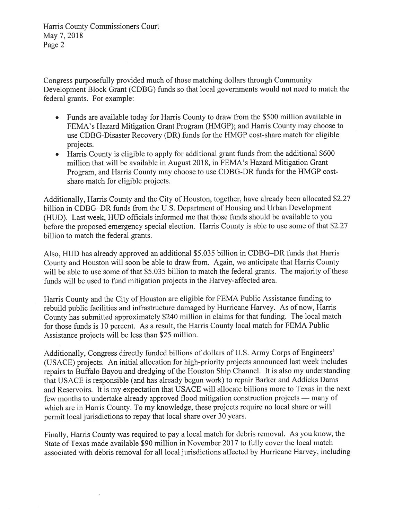Harris County Commissioners Court May 7,2018 Page 2

Congress purposefully provided much of those matching dollars through Community Development Block Grant (CDBG) funds so that local governments would not need to match the federal grants. For example:

- Funds are available today for Harris County to draw from the \$500 million available in FEMA's Hazard Mitigation Grant Program (HMGP); and Harris County may choose to use CDBG-Disaster Recovery (DR) funds for the HMGP cost-share match for eligible projects.
- Harris County is eligible to apply for additional grant funds from the additional \$600 million that will be available in August 2018, in FEMA's Hazard Mitigation Grant Program, and Harris County may choose to use CDBG-DR funds for the HMGP costshare match for eligible projects.

Additionally, Harris County and the City of Houston, together, have already been allocated \$2.27 billion in CDBG—DR funds from the U.S. Department of Housing and Urban Development (HUD). Last week, HUD officials informed me that those funds should be available to you before the proposed emergency special election. Harris County is able to use some of that \$2.27 billion to match the federal grants.

Also, HUD has already approved an additional \$5.035 billion in CDBG—DR funds that Harris County and Houston will soon be able to draw from. Again, we anticipate that Harris County will be able to use some of that \$5,035 billion to match the federal grants. The majority of these funds will be used to fund mitigation projects in the Harvey-affected area.

Harris County and the City of Houston are eligible for FEMA Public Assistance funding to rebuild public facilities and infrastructure damaged by Hurricane Harvey. As of now, Harris County has submitted approximately \$240 million in claims for that funding. The local match for those funds is 10 percent. As a result, the Harris County local match for FEMA Public Assistance projects will be less than \$25 million.

Additionally, Congress directly funded billions of dollars of U.S. Army Corps of Engineers' (USACE) projects. An initial allocation for high-priority projects announced last week includes repairs to Buffalo Bayou and dredging of the Houston Ship Channel. It is also my understanding that USACE is responsible (and has already begun work) to repair Barker and Addicks Dams and Reservoirs. It is my expectation that USACE will allocate billions more to Texas in the next few months to undertake already approved flood mitigation construction projects — many of which are in Harris County. To my knowledge, these projects require no local share or will permit local jurisdictions to repay that local share over 30 years.

Finally, Harris County was required to pay a local match for debris removal. As you know, the State of Texas made available \$90 million in November 2017 to fully cover the local match associated with debris removal for all local jurisdictions affected by Hurricane Harvey, including